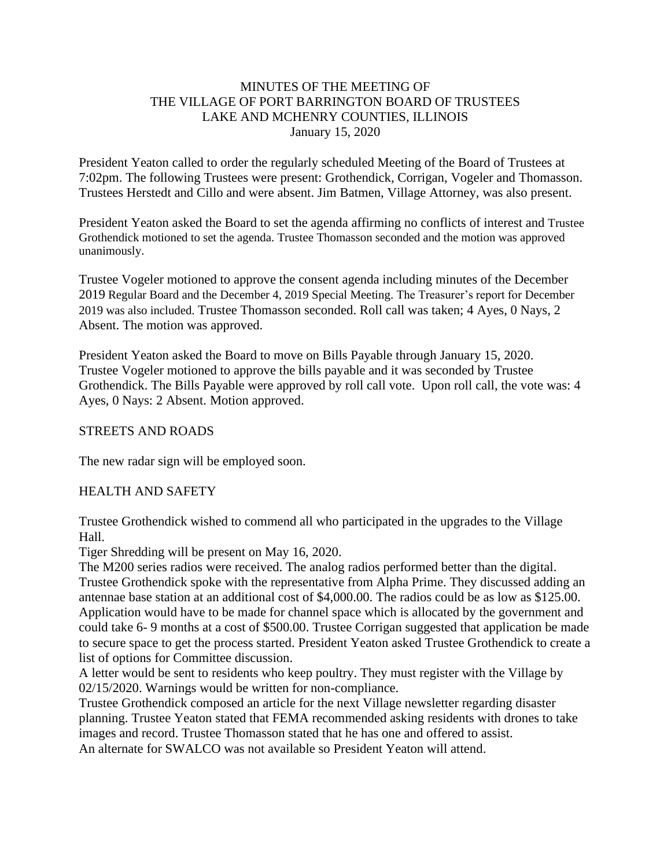## MINUTES OF THE MEETING OF THE VILLAGE OF PORT BARRINGTON BOARD OF TRUSTEES LAKE AND MCHENRY COUNTIES, ILLINOIS January 15, 2020

President Yeaton called to order the regularly scheduled Meeting of the Board of Trustees at 7:02pm. The following Trustees were present: Grothendick, Corrigan, Vogeler and Thomasson. Trustees Herstedt and Cillo and were absent. Jim Batmen, Village Attorney, was also present.

President Yeaton asked the Board to set the agenda affirming no conflicts of interest and Trustee Grothendick motioned to set the agenda. Trustee Thomasson seconded and the motion was approved unanimously.

Trustee Vogeler motioned to approve the consent agenda including minutes of the December 2019 Regular Board and the December 4, 2019 Special Meeting. The Treasurer's report for December 2019 was also included. Trustee Thomasson seconded. Roll call was taken; 4 Ayes, 0 Nays, 2 Absent. The motion was approved.

President Yeaton asked the Board to move on Bills Payable through January 15, 2020. Trustee Vogeler motioned to approve the bills payable and it was seconded by Trustee Grothendick. The Bills Payable were approved by roll call vote. Upon roll call, the vote was: 4 Ayes, 0 Nays: 2 Absent. Motion approved.

### STREETS AND ROADS

The new radar sign will be employed soon.

### HEALTH AND SAFETY

Trustee Grothendick wished to commend all who participated in the upgrades to the Village Hall.

Tiger Shredding will be present on May 16, 2020.

The M200 series radios were received. The analog radios performed better than the digital. Trustee Grothendick spoke with the representative from Alpha Prime. They discussed adding an antennae base station at an additional cost of \$4,000.00. The radios could be as low as \$125.00. Application would have to be made for channel space which is allocated by the government and could take 6- 9 months at a cost of \$500.00. Trustee Corrigan suggested that application be made to secure space to get the process started. President Yeaton asked Trustee Grothendick to create a list of options for Committee discussion.

A letter would be sent to residents who keep poultry. They must register with the Village by 02/15/2020. Warnings would be written for non-compliance.

Trustee Grothendick composed an article for the next Village newsletter regarding disaster planning. Trustee Yeaton stated that FEMA recommended asking residents with drones to take images and record. Trustee Thomasson stated that he has one and offered to assist.

An alternate for SWALCO was not available so President Yeaton will attend.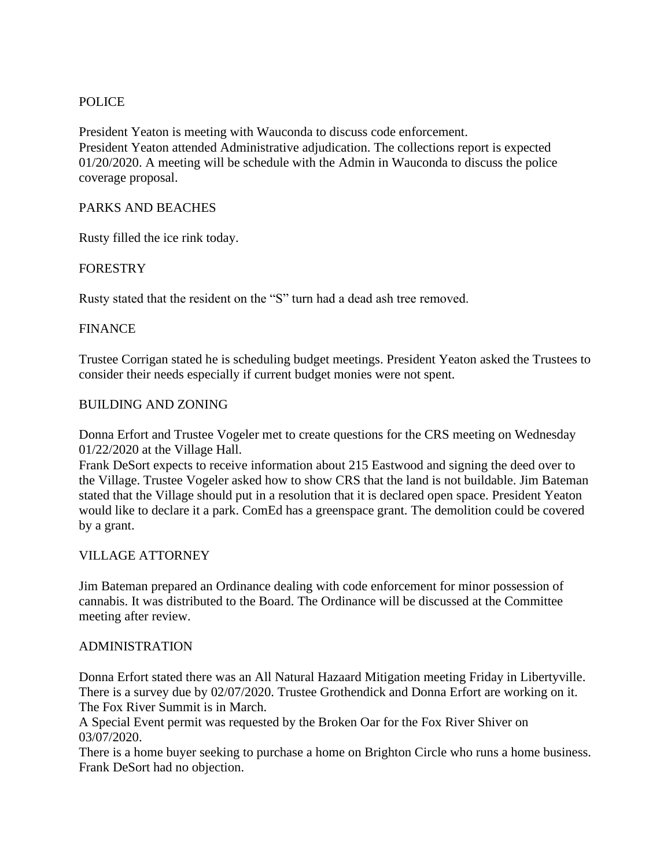## POLICE

President Yeaton is meeting with Wauconda to discuss code enforcement. President Yeaton attended Administrative adjudication. The collections report is expected 01/20/2020. A meeting will be schedule with the Admin in Wauconda to discuss the police coverage proposal.

### PARKS AND BEACHES

Rusty filled the ice rink today.

## FORESTRY

Rusty stated that the resident on the "S" turn had a dead ash tree removed.

## **FINANCE**

Trustee Corrigan stated he is scheduling budget meetings. President Yeaton asked the Trustees to consider their needs especially if current budget monies were not spent.

## BUILDING AND ZONING

Donna Erfort and Trustee Vogeler met to create questions for the CRS meeting on Wednesday 01/22/2020 at the Village Hall.

Frank DeSort expects to receive information about 215 Eastwood and signing the deed over to the Village. Trustee Vogeler asked how to show CRS that the land is not buildable. Jim Bateman stated that the Village should put in a resolution that it is declared open space. President Yeaton would like to declare it a park. ComEd has a greenspace grant. The demolition could be covered by a grant.

### VILLAGE ATTORNEY

Jim Bateman prepared an Ordinance dealing with code enforcement for minor possession of cannabis. It was distributed to the Board. The Ordinance will be discussed at the Committee meeting after review.

### ADMINISTRATION

Donna Erfort stated there was an All Natural Hazaard Mitigation meeting Friday in Libertyville. There is a survey due by 02/07/2020. Trustee Grothendick and Donna Erfort are working on it. The Fox River Summit is in March.

A Special Event permit was requested by the Broken Oar for the Fox River Shiver on 03/07/2020.

There is a home buyer seeking to purchase a home on Brighton Circle who runs a home business. Frank DeSort had no objection.